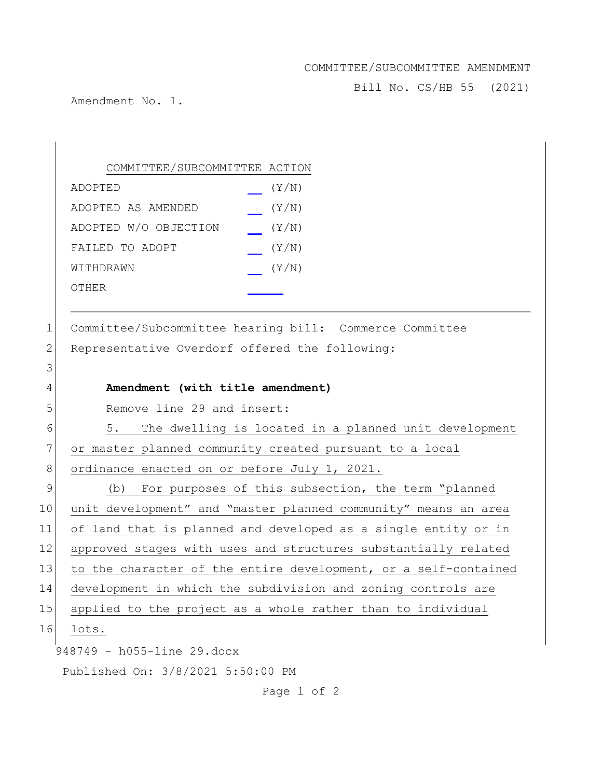## COMMITTEE/SUBCOMMITTEE AMENDMENT

Bill No. CS/HB 55 (2021)

Amendment No. 1.

 $\sim$ 

## COMMITTEE/SUBCOMMITTEE ACTION ADOPTED (Y/N) ADOPTED AS AMENDED (Y/N) ADOPTED W/O OBJECTION (Y/N) FAILED TO ADOPT (Y/N) WITHDRAWN (Y/N) OTHER

1 Committee/Subcommittee hearing bill: Commerce Committee 2 Representative Overdorf offered the following:

| C  |                                                                 |
|----|-----------------------------------------------------------------|
| 4  | Amendment (with title amendment)                                |
| 5  | Remove line 29 and insert:                                      |
| 6  | 5.<br>The dwelling is located in a planned unit development     |
| 7  | or master planned community created pursuant to a local         |
| 8  | ordinance enacted on or before July 1, 2021.                    |
| 9  | (b) For purposes of this subsection, the term "planned          |
| 10 | unit development" and "master planned community" means an area  |
| 11 | of land that is planned and developed as a single entity or in  |
| 12 | approved stages with uses and structures substantially related  |
| 13 | to the character of the entire development, or a self-contained |
| 14 | development in which the subdivision and zoning controls are    |
| 15 | applied to the project as a whole rather than to individual     |
| 16 | lots.                                                           |
|    | 948749 - h055-line 29.docx                                      |
|    | Published On: 3/8/2021 5:50:00 PM                               |
|    |                                                                 |

Page 1 of 2